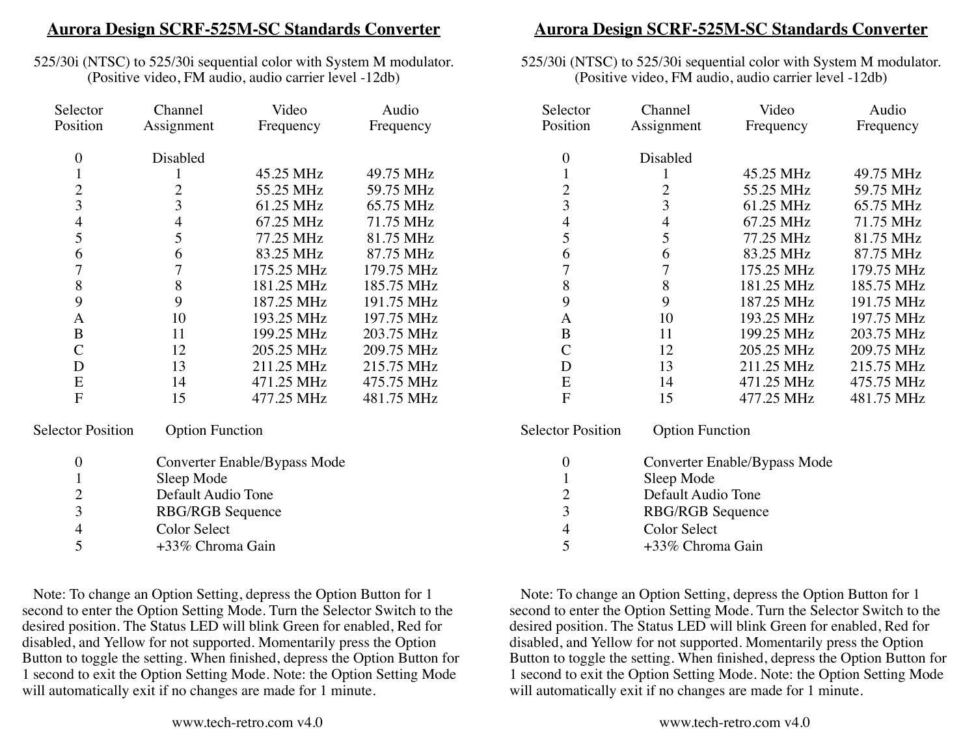## **Aurora Design SCRF-525M-SC Standards Converter**

525/30i (NTSC) to 525/30i sequential color with System M modulator. (Positive video, FM audio, audio carrier level -12db)

| Selector                 | Channel                | Video                        | Audio      |  |
|--------------------------|------------------------|------------------------------|------------|--|
| Position                 | Assignment             | Frequency                    | Frequency  |  |
|                          |                        |                              |            |  |
| 0                        | Disabled               |                              |            |  |
| 1                        | 1                      | 45.25 MHz                    | 49.75 MHz  |  |
| $\overline{c}$           | $\overline{2}$         | 55.25 MHz                    | 59.75 MHz  |  |
| 3                        | 3                      | 61.25 MHz                    | 65.75 MHz  |  |
| $\overline{4}$           | $\overline{4}$         | 67.25 MHz                    | 71.75 MHz  |  |
| 5                        | 5                      | 77.25 MHz                    | 81.75 MHz  |  |
| 6                        | 6                      | 83.25 MHz                    | 87.75 MHz  |  |
| 7                        | 7                      | 175.25 MHz                   | 179.75 MHz |  |
| 8                        | 8                      | 181.25 MHz                   | 185.75 MHz |  |
| 9                        | 9                      | 187.25 MHz                   | 191.75 MHz |  |
| A                        | 10                     | 193.25 MHz                   | 197.75 MHz |  |
| B                        | 11                     | 199.25 MHz                   | 203.75 MHz |  |
| C                        | 12                     | 205.25 MHz                   | 209.75 MHz |  |
| D                        | 13                     | 211.25 MHz                   | 215.75 MHz |  |
| E                        | 14                     | 471.25 MHz                   | 475.75 MHz |  |
| F                        | 15                     | 477.25 MHz                   | 481.75 MHz |  |
|                          |                        |                              |            |  |
| <b>Selector Position</b> | <b>Option Function</b> |                              |            |  |
| $\boldsymbol{0}$         |                        | Converter Enable/Bypass Mode |            |  |
| $\mathbf{1}$             | Sleep Mode             |                              |            |  |
|                          |                        |                              |            |  |

 2 Default Audio Tone

 3 RBG/RGB Sequence

 4 Color Select 5 +33% Chroma Gain

Note: To change an Option Setting, depress the Option Button for 1 second to enter the Option Setting Mode. Turn the Selector Switch to the desired position. The Status LED will blink Green for enabled, Red for disabled, and Yellow for not supported. Momentarily press the Option Button to toggle the setting. When finished, depress the Option Button for 1 second to exit the Option Setting Mode. Note: the Option Setting Mode will automatically exit if no changes are made for 1 minute.

## **Aurora Design SCRF-525M-SC Standards Converter**

#### 525/30i (NTSC) to 525/30i sequential color with System M modulator. (Positive video, FM audio, audio carrier level -12db)

| Selector                 | Channel                | Video                        | Audio      |
|--------------------------|------------------------|------------------------------|------------|
| Position                 | Assignment             | Frequency                    | Frequency  |
| $\boldsymbol{0}$         | Disabled               |                              |            |
| $\mathbf{1}$             | 1                      | 45.25 MHz                    | 49.75 MHz  |
| $\overline{c}$           | $\overline{2}$         | 55.25 MHz                    | 59.75 MHz  |
| 3                        | 3                      | 61.25 MHz                    | 65.75 MHz  |
| $\overline{4}$           | $\overline{4}$         | 67.25 MHz                    | 71.75 MHz  |
| 5                        | 5                      | 77.25 MHz                    | 81.75 MHz  |
| 6                        | 6                      | 83.25 MHz                    | 87.75 MHz  |
| $\overline{7}$           | $\overline{7}$         | 175.25 MHz                   | 179.75 MHz |
| 8                        | 8                      | 181.25 MHz                   | 185.75 MHz |
| 9                        | 9                      | 187.25 MHz                   | 191.75 MHz |
| A                        | 10                     | 193.25 MHz                   | 197.75 MHz |
| B                        | 11                     | 199.25 MHz                   | 203.75 MHz |
| $\mathsf{C}$             | 12                     | 205.25 MHz                   | 209.75 MHz |
| D                        | 13                     | 211.25 MHz                   | 215.75 MHz |
| E                        | 14                     | 471.25 MHz                   | 475.75 MHz |
| F                        | 15                     | 477.25 MHz                   | 481.75 MHz |
|                          |                        |                              |            |
| <b>Selector Position</b> | <b>Option Function</b> |                              |            |
| 0                        |                        | Converter Enable/Bypass Mode |            |
| 1                        | Sleep Mode             |                              |            |
| $\overline{c}$           | Default Audio Tone     |                              |            |
| 3                        | RBG/RGB Sequence       |                              |            |
| $\overline{4}$           | <b>Color Select</b>    |                              |            |

Note: To change an Option Setting, depress the Option Button for 1 second to enter the Option Setting Mode. Turn the Selector Switch to the desired position. The Status LED will blink Green for enabled, Red for disabled, and Yellow for not supported. Momentarily press the Option Button to toggle the setting. When finished, depress the Option Button for 1 second to exit the Option Setting Mode. Note: the Option Setting Mode will automatically exit if no changes are made for 1 minute.

 5 +33% Chroma Gain